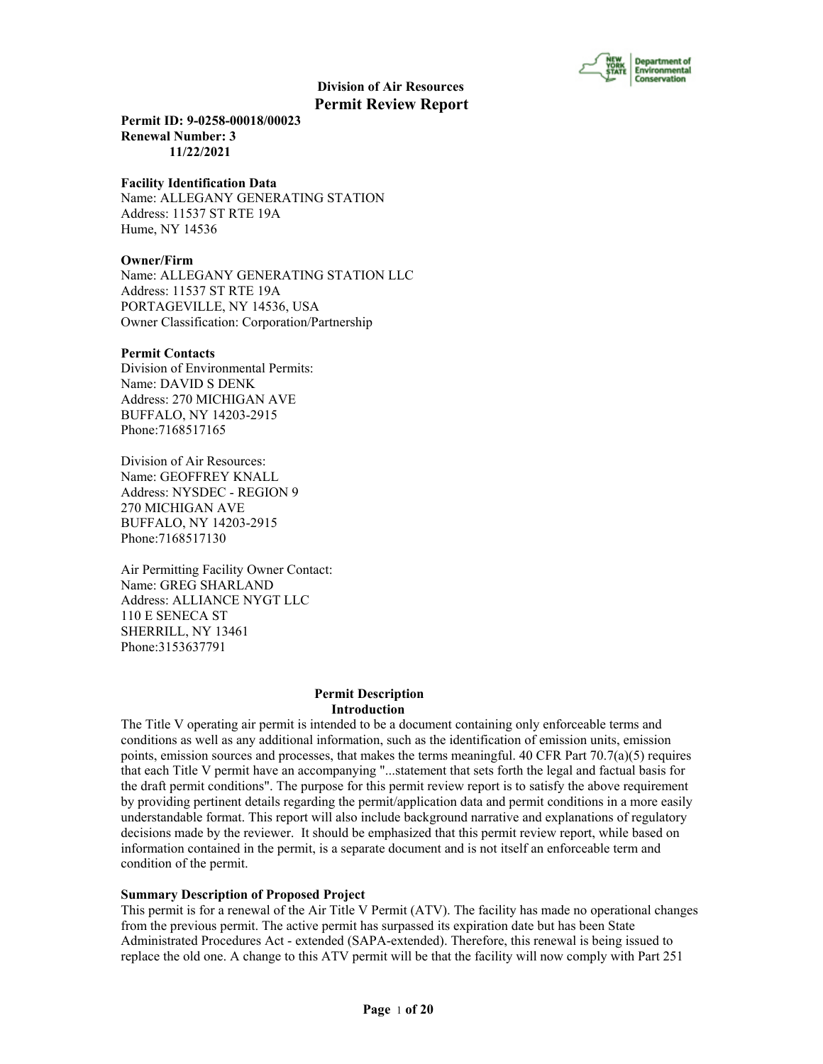

**Permit ID: 9-0258-00018/00023 Renewal Number: 3 11/22/2021**

#### **Facility Identification Data**

Name: ALLEGANY GENERATING STATION Address: 11537 ST RTE 19A Hume, NY 14536

#### **Owner/Firm**

Name: ALLEGANY GENERATING STATION LLC Address: 11537 ST RTE 19A PORTAGEVILLE, NY 14536, USA Owner Classification: Corporation/Partnership

#### **Permit Contacts**

Division of Environmental Permits: Name: DAVID S DENK Address: 270 MICHIGAN AVE BUFFALO, NY 14203-2915 Phone:7168517165

Division of Air Resources: Name: GEOFFREY KNALL Address: NYSDEC - REGION 9 270 MICHIGAN AVE BUFFALO, NY 14203-2915 Phone:7168517130

Air Permitting Facility Owner Contact: Name: GREG SHARLAND Address: ALLIANCE NYGT LLC 110 E SENECA ST SHERRILL, NY 13461 Phone:3153637791

#### **Permit Description Introduction**

The Title V operating air permit is intended to be a document containing only enforceable terms and conditions as well as any additional information, such as the identification of emission units, emission points, emission sources and processes, that makes the terms meaningful. 40 CFR Part  $70.7(a)(5)$  requires that each Title V permit have an accompanying "...statement that sets forth the legal and factual basis for the draft permit conditions". The purpose for this permit review report is to satisfy the above requirement by providing pertinent details regarding the permit/application data and permit conditions in a more easily understandable format. This report will also include background narrative and explanations of regulatory decisions made by the reviewer. It should be emphasized that this permit review report, while based on information contained in the permit, is a separate document and is not itself an enforceable term and condition of the permit.

#### **Summary Description of Proposed Project**

This permit is for a renewal of the Air Title V Permit (ATV). The facility has made no operational changes from the previous permit. The active permit has surpassed its expiration date but has been State Administrated Procedures Act - extended (SAPA-extended). Therefore, this renewal is being issued to replace the old one. A change to this ATV permit will be that the facility will now comply with Part 251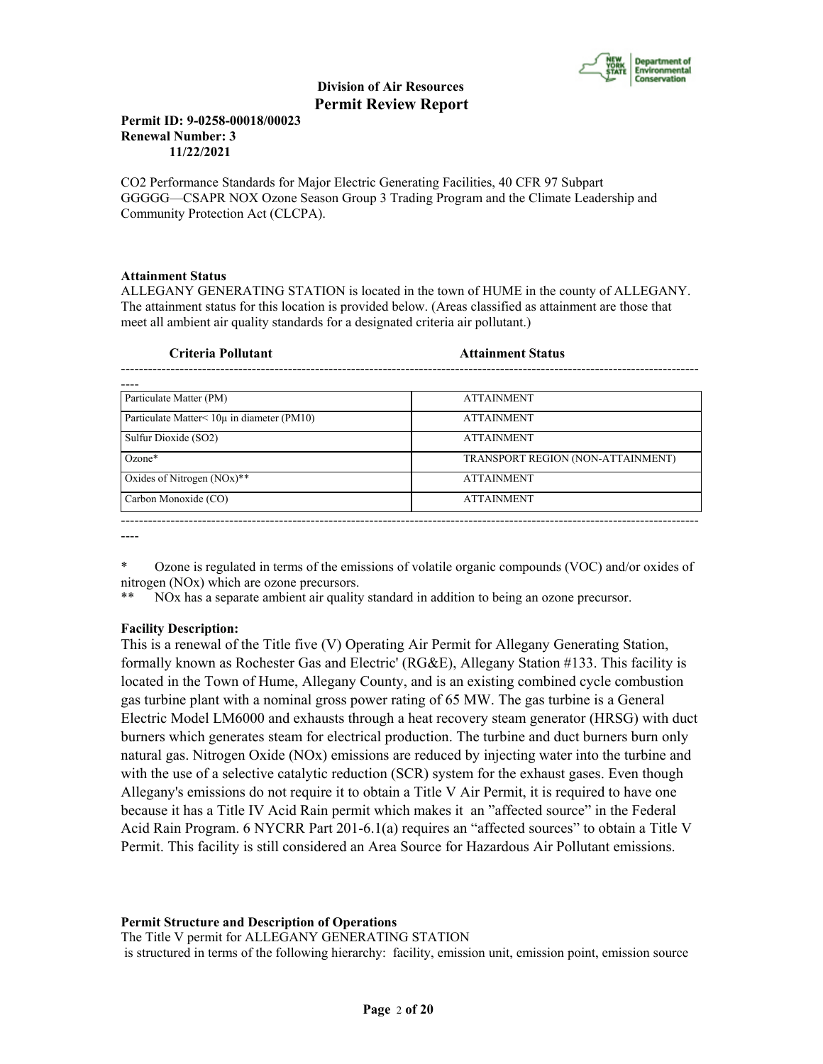

#### **Permit ID: 9-0258-00018/00023 Renewal Number: 3 11/22/2021**

CO2 Performance Standards for Major Electric Generating Facilities, 40 CFR 97 Subpart GGGGG—CSAPR NOX Ozone Season Group 3 Trading Program and the Climate Leadership and Community Protection Act (CLCPA).

#### **Attainment Status**

ALLEGANY GENERATING STATION is located in the town of HUME in the county of ALLEGANY. The attainment status for this location is provided below. (Areas classified as attainment are those that meet all ambient air quality standards for a designated criteria air pollutant.)

| Criteria Pollutant                                 | <b>Attainment Status</b>          |  |
|----------------------------------------------------|-----------------------------------|--|
|                                                    |                                   |  |
| Particulate Matter (PM)                            | <b>ATTAINMENT</b>                 |  |
| Particulate Matter $\leq 10\mu$ in diameter (PM10) | <b>ATTAINMENT</b>                 |  |
| Sulfur Dioxide (SO2)                               | <b>ATTAINMENT</b>                 |  |
| $Ozone*$                                           | TRANSPORT REGION (NON-ATTAINMENT) |  |
| Oxides of Nitrogen $(NOx)$ **                      | <b>ATTAINMENT</b>                 |  |
| Carbon Monoxide (CO)                               | <b>ATTAINMENT</b>                 |  |

----

\* Ozone is regulated in terms of the emissions of volatile organic compounds (VOC) and/or oxides of nitrogen (NOx) which are ozone precursors.

\*\* NOx has a separate ambient air quality standard in addition to being an ozone precursor.

### **Facility Description:**

This is a renewal of the Title five (V) Operating Air Permit for Allegany Generating Station, formally known as Rochester Gas and Electric' (RG&E), Allegany Station #133. This facility is located in the Town of Hume, Allegany County, and is an existing combined cycle combustion gas turbine plant with a nominal gross power rating of 65 MW. The gas turbine is a General Electric Model LM6000 and exhausts through a heat recovery steam generator (HRSG) with duct burners which generates steam for electrical production. The turbine and duct burners burn only natural gas. Nitrogen Oxide (NOx) emissions are reduced by injecting water into the turbine and with the use of a selective catalytic reduction (SCR) system for the exhaust gases. Even though Allegany's emissions do not require it to obtain a Title V Air Permit, it is required to have one because it has a Title IV Acid Rain permit which makes it an "affected source" in the Federal Acid Rain Program. 6 NYCRR Part 201-6.1(a) requires an "affected sources" to obtain a Title V Permit. This facility is still considered an Area Source for Hazardous Air Pollutant emissions.

#### **Permit Structure and Description of Operations**

The Title V permit for ALLEGANY GENERATING STATION is structured in terms of the following hierarchy: facility, emission unit, emission point, emission source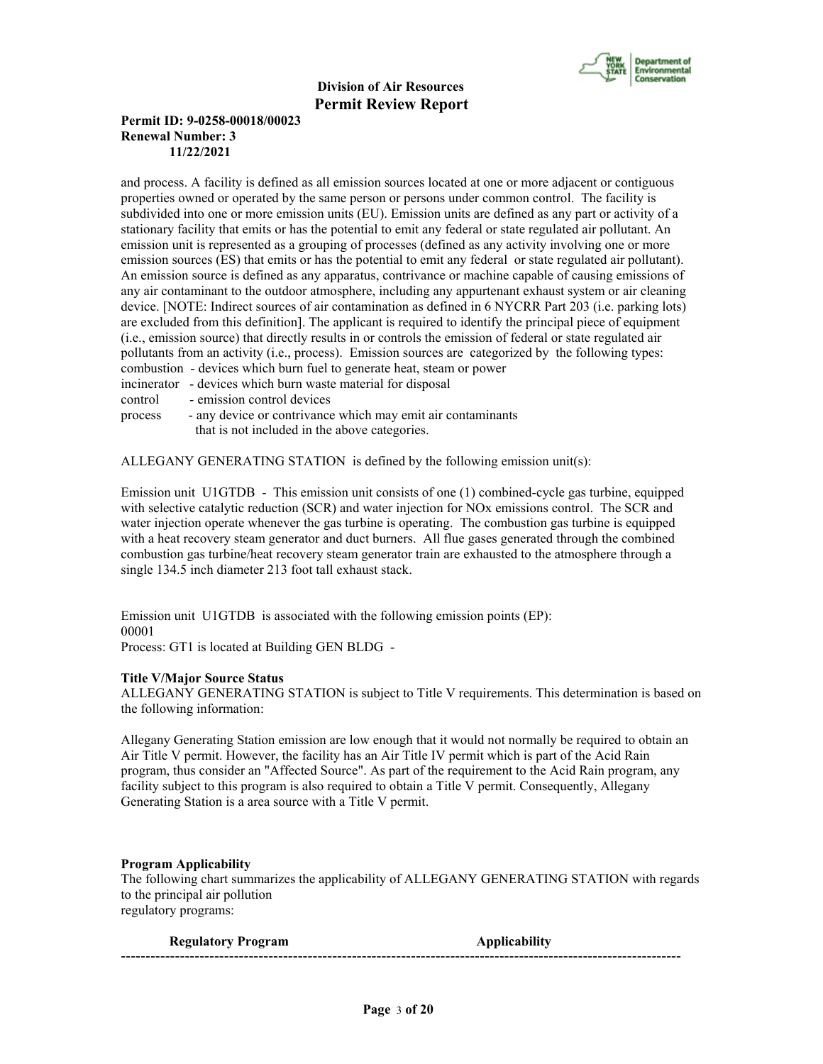

### **Permit ID: 9-0258-00018/00023 Renewal Number: 3 11/22/2021**

and process. A facility is defined as all emission sources located at one or more adjacent or contiguous properties owned or operated by the same person or persons under common control. The facility is subdivided into one or more emission units (EU). Emission units are defined as any part or activity of a stationary facility that emits or has the potential to emit any federal or state regulated air pollutant. An emission unit is represented as a grouping of processes (defined as any activity involving one or more emission sources (ES) that emits or has the potential to emit any federal or state regulated air pollutant). An emission source is defined as any apparatus, contrivance or machine capable of causing emissions of any air contaminant to the outdoor atmosphere, including any appurtenant exhaust system or air cleaning device. [NOTE: Indirect sources of air contamination as defined in 6 NYCRR Part 203 (i.e. parking lots) are excluded from this definition]. The applicant is required to identify the principal piece of equipment (i.e., emission source) that directly results in or controls the emission of federal or state regulated air pollutants from an activity (i.e., process). Emission sources are categorized by the following types: combustion - devices which burn fuel to generate heat, steam or power

- incinerator devices which burn waste material for disposal
- control emission control devices

process - any device or contrivance which may emit air contaminants that is not included in the above categories.

ALLEGANY GENERATING STATION is defined by the following emission unit(s):

Emission unit U1GTDB - This emission unit consists of one (1) combined-cycle gas turbine, equipped with selective catalytic reduction (SCR) and water injection for NOx emissions control. The SCR and water injection operate whenever the gas turbine is operating. The combustion gas turbine is equipped with a heat recovery steam generator and duct burners. All flue gases generated through the combined combustion gas turbine/heat recovery steam generator train are exhausted to the atmosphere through a single 134.5 inch diameter 213 foot tall exhaust stack.

Emission unit U1GTDB is associated with the following emission points (EP): 00001 Process: GT1 is located at Building GEN BLDG -

**Title V/Major Source Status** ALLEGANY GENERATING STATION is subject to Title V requirements. This determination is based on the following information:

Allegany Generating Station emission are low enough that it would not normally be required to obtain an Air Title V permit. However, the facility has an Air Title IV permit which is part of the Acid Rain program, thus consider an "Affected Source". As part of the requirement to the Acid Rain program, any facility subject to this program is also required to obtain a Title V permit. Consequently, Allegany Generating Station is a area source with a Title V permit.

#### **Program Applicability**

The following chart summarizes the applicability of ALLEGANY GENERATING STATION with regards to the principal air pollution regulatory programs:

**Regulatory Program Applicability** ------------------------------------------------------------------------------------------------------------------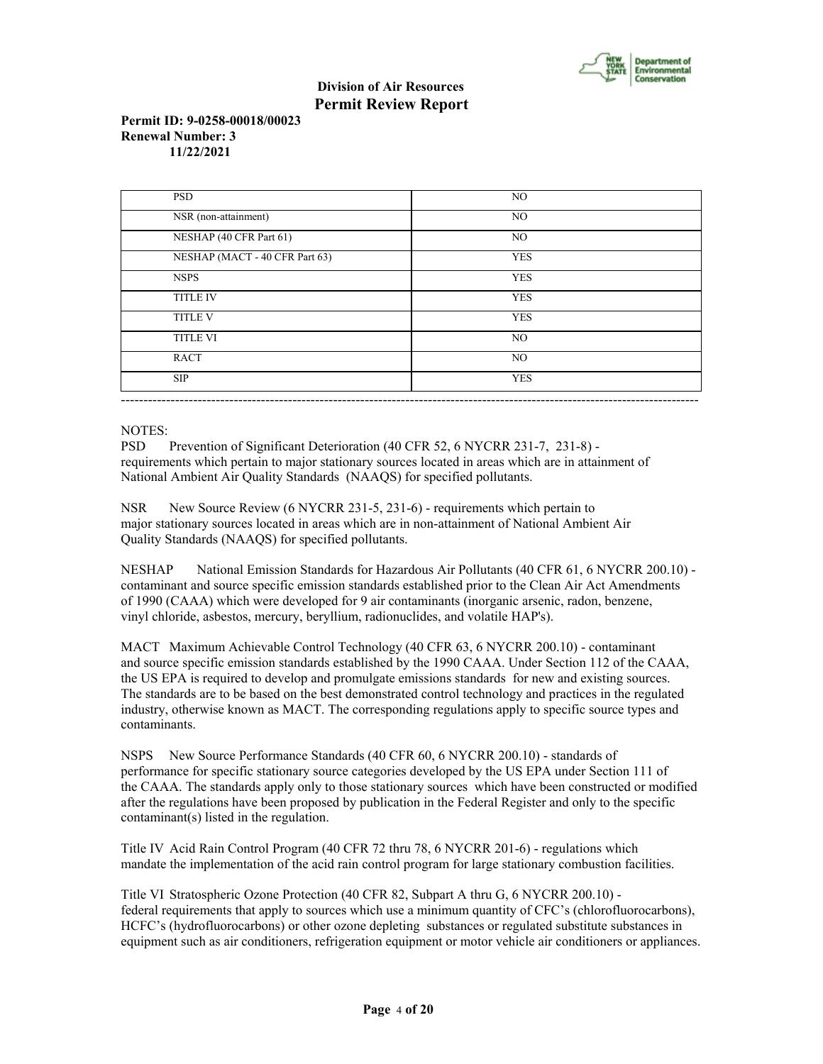

#### **Permit ID: 9-0258-00018/00023 Renewal Number: 3 11/22/2021**

| <b>PSD</b>                     | NO         |
|--------------------------------|------------|
| NSR (non-attainment)           | NO.        |
| NESHAP (40 CFR Part 61)        | NO         |
| NESHAP (MACT - 40 CFR Part 63) | <b>YES</b> |
| <b>NSPS</b>                    | <b>YES</b> |
| <b>TITLE IV</b>                | <b>YES</b> |
| <b>TITLE V</b>                 | <b>YES</b> |
| <b>TITLE VI</b>                | NO.        |
| <b>RACT</b>                    | NO.        |
| <b>SIP</b>                     | <b>YES</b> |

#### NOTES:

PSD Prevention of Significant Deterioration (40 CFR 52, 6 NYCRR 231-7, 231-8) requirements which pertain to major stationary sources located in areas which are in attainment of National Ambient Air Quality Standards (NAAQS) for specified pollutants.

NSR New Source Review (6 NYCRR 231-5, 231-6) - requirements which pertain to major stationary sources located in areas which are in non-attainment of National Ambient Air Quality Standards (NAAQS) for specified pollutants.

NESHAP National Emission Standards for Hazardous Air Pollutants (40 CFR 61, 6 NYCRR 200.10) contaminant and source specific emission standards established prior to the Clean Air Act Amendments of 1990 (CAAA) which were developed for 9 air contaminants (inorganic arsenic, radon, benzene, vinyl chloride, asbestos, mercury, beryllium, radionuclides, and volatile HAP's).

MACT Maximum Achievable Control Technology (40 CFR 63, 6 NYCRR 200.10) - contaminant and source specific emission standards established by the 1990 CAAA. Under Section 112 of the CAAA, the US EPA is required to develop and promulgate emissions standards for new and existing sources. The standards are to be based on the best demonstrated control technology and practices in the regulated industry, otherwise known as MACT. The corresponding regulations apply to specific source types and contaminants.

NSPS New Source Performance Standards (40 CFR 60, 6 NYCRR 200.10) - standards of performance for specific stationary source categories developed by the US EPA under Section 111 of the CAAA. The standards apply only to those stationary sources which have been constructed or modified after the regulations have been proposed by publication in the Federal Register and only to the specific contaminant(s) listed in the regulation.

Title IV Acid Rain Control Program (40 CFR 72 thru 78, 6 NYCRR 201-6) - regulations which mandate the implementation of the acid rain control program for large stationary combustion facilities.

Title VI Stratospheric Ozone Protection (40 CFR 82, Subpart A thru G, 6 NYCRR 200.10) federal requirements that apply to sources which use a minimum quantity of CFC's (chlorofluorocarbons), HCFC's (hydrofluorocarbons) or other ozone depleting substances or regulated substitute substances in equipment such as air conditioners, refrigeration equipment or motor vehicle air conditioners or appliances.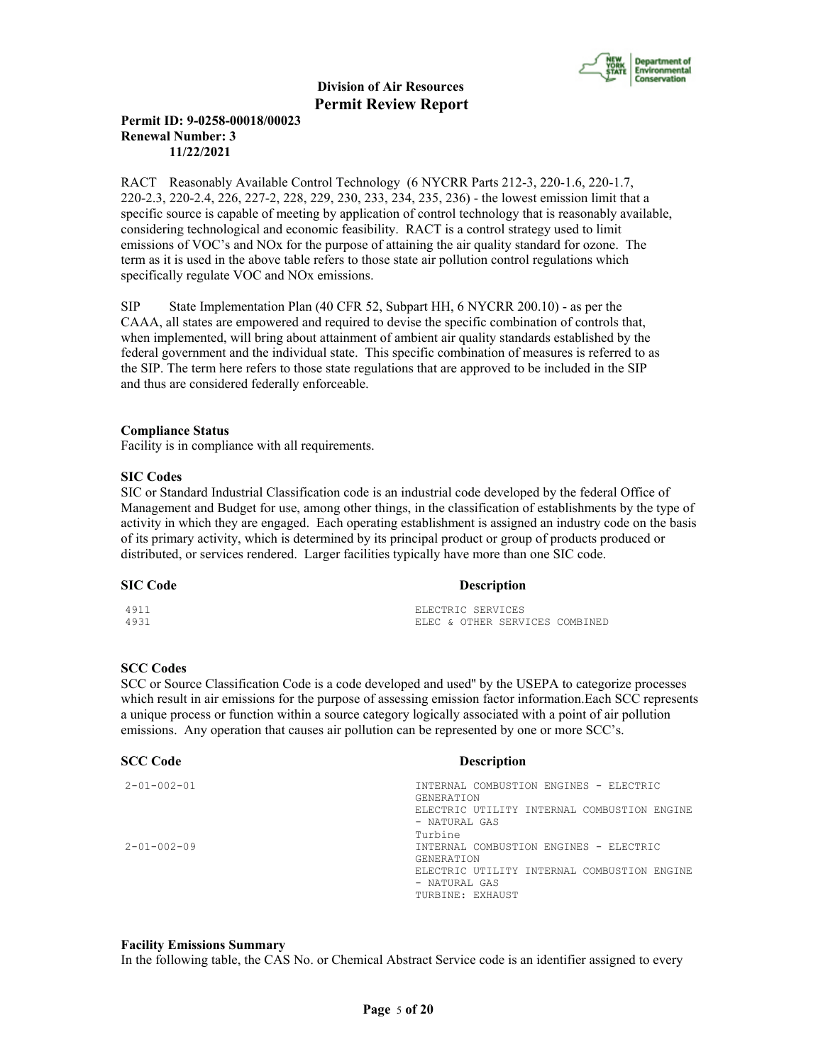

### **Permit ID: 9-0258-00018/00023 Renewal Number: 3 11/22/2021**

RACT Reasonably Available Control Technology (6 NYCRR Parts 212-3, 220-1.6, 220-1.7, 220-2.3, 220-2.4, 226, 227-2, 228, 229, 230, 233, 234, 235, 236) - the lowest emission limit that a specific source is capable of meeting by application of control technology that is reasonably available, considering technological and economic feasibility. RACT is a control strategy used to limit emissions of VOC's and NOx for the purpose of attaining the air quality standard for ozone. The term as it is used in the above table refers to those state air pollution control regulations which specifically regulate VOC and NOx emissions.

SIP State Implementation Plan (40 CFR 52, Subpart HH, 6 NYCRR 200.10) - as per the CAAA, all states are empowered and required to devise the specific combination of controls that, when implemented, will bring about attainment of ambient air quality standards established by the federal government and the individual state. This specific combination of measures is referred to as the SIP. The term here refers to those state regulations that are approved to be included in the SIP and thus are considered federally enforceable.

#### **Compliance Status**

Facility is in compliance with all requirements.

#### **SIC Codes**

SIC or Standard Industrial Classification code is an industrial code developed by the federal Office of Management and Budget for use, among other things, in the classification of establishments by the type of activity in which they are engaged. Each operating establishment is assigned an industry code on the basis of its primary activity, which is determined by its principal product or group of products produced or distributed, or services rendered. Larger facilities typically have more than one SIC code.

#### **SIC Code Description**

| 4911 |  | ELECTRIC SERVICES |                                |
|------|--|-------------------|--------------------------------|
| 4931 |  |                   | ELEC & OTHER SERVICES COMBINED |

#### **SCC Codes**

SCC or Source Classification Code is a code developed and used'' by the USEPA to categorize processes which result in air emissions for the purpose of assessing emission factor information.Each SCC represents a unique process or function within a source category logically associated with a point of air pollution emissions. Any operation that causes air pollution can be represented by one or more SCC's.

| <b>SCC Code</b>     | <b>Description</b>                                                                                                                                         |
|---------------------|------------------------------------------------------------------------------------------------------------------------------------------------------------|
| $2 - 01 - 002 - 01$ | INTERNAL COMBUSTION ENGINES - ELECTRIC<br><b>GENERATION</b><br>ELECTRIC UTILITY INTERNAL COMBUSTION ENGINE<br>- NATURAL GAS                                |
| $2 - 01 - 002 - 09$ | Turbine<br>INTERNAL COMBUSTION ENGINES - ELECTRIC<br><b>GENERATION</b><br>ELECTRIC UTILITY INTERNAL COMBUSTION ENGINE<br>- NATURAL GAS<br>TURBINE: EXHAUST |

#### **Facility Emissions Summary**

In the following table, the CAS No. or Chemical Abstract Service code is an identifier assigned to every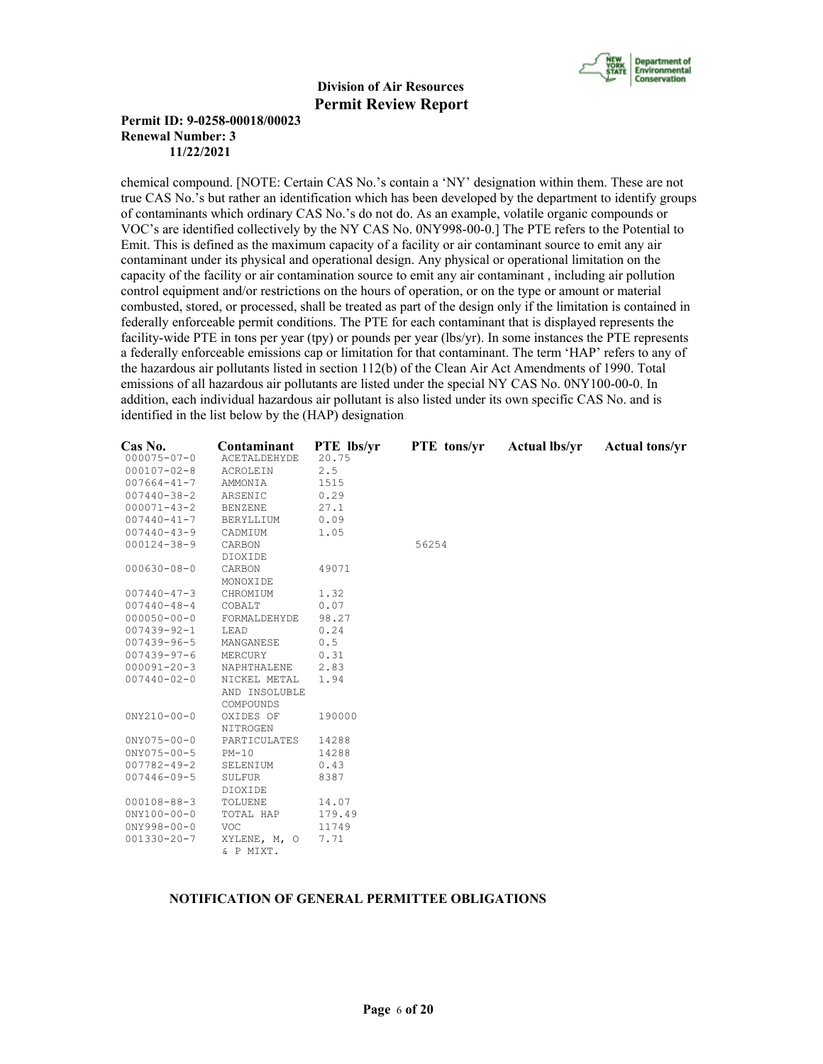

#### **Permit ID: 9-0258-00018/00023 Renewal Number: 3 11/22/2021**

chemical compound. [NOTE: Certain CAS No.'s contain a 'NY' designation within them. These are not true CAS No.'s but rather an identification which has been developed by the department to identify groups of contaminants which ordinary CAS No.'s do not do. As an example, volatile organic compounds or VOC's are identified collectively by the NY CAS No. 0NY998-00-0.] The PTE refers to the Potential to Emit. This is defined as the maximum capacity of a facility or air contaminant source to emit any air contaminant under its physical and operational design. Any physical or operational limitation on the capacity of the facility or air contamination source to emit any air contaminant , including air pollution control equipment and/or restrictions on the hours of operation, or on the type or amount or material combusted, stored, or processed, shall be treated as part of the design only if the limitation is contained in federally enforceable permit conditions. The PTE for each contaminant that is displayed represents the facility-wide PTE in tons per year (tpy) or pounds per year (lbs/yr). In some instances the PTE represents a federally enforceable emissions cap or limitation for that contaminant. The term 'HAP' refers to any of the hazardous air pollutants listed in section 112(b) of the Clean Air Act Amendments of 1990. Total emissions of all hazardous air pollutants are listed under the special NY CAS No. 0NY100-00-0. In addition, each individual hazardous air pollutant is also listed under its own specific CAS No. and is identified in the list below by the (HAP) designation.

| Cas No.           | Contaminant         | PTE lbs/yr | PTE tons/yr | <b>Actual lbs/yr</b> | <b>Actual tons/yr</b> |
|-------------------|---------------------|------------|-------------|----------------------|-----------------------|
| $000075 - 07 - 0$ | <b>ACETALDEHYDE</b> | 20.75      |             |                      |                       |
| $000107 - 02 - 8$ | <b>ACROLEIN</b>     | 2.5        |             |                      |                       |
| $007664 - 41 - 7$ | AMMONIA             | 1515       |             |                      |                       |
| $007440 - 38 - 2$ | ARSENIC             | 0.29       |             |                      |                       |
| $000071 - 43 - 2$ | <b>BENZENE</b>      | 27.1       |             |                      |                       |
| $007440 - 41 - 7$ | BERYLLIUM           | 0.09       |             |                      |                       |
| $007440 - 43 - 9$ | CADMIUM             | 1.05       |             |                      |                       |
| $000124 - 38 - 9$ | CARBON              |            | 56254       |                      |                       |
|                   | DIOXIDE             |            |             |                      |                       |
| $000630 - 08 - 0$ | CARBON              | 49071      |             |                      |                       |
|                   | MONOXIDE            |            |             |                      |                       |
| $007440 - 47 - 3$ | CHROMIUM            | 1.32       |             |                      |                       |
| $007440 - 48 - 4$ | COBALT              | 0.07       |             |                      |                       |
| $000050 - 00 - 0$ | FORMALDEHYDE        | 98.27      |             |                      |                       |
| $007439 - 92 - 1$ | LEAD                | 0.24       |             |                      |                       |
| $007439 - 96 - 5$ | MANGANESE           | 0.5        |             |                      |                       |
| $007439 - 97 - 6$ | MERCURY             | 0.31       |             |                      |                       |
| $000091 - 20 - 3$ | NAPHTHALENE         | 2.83       |             |                      |                       |
| $007440 - 02 - 0$ | NICKEL METAL        | 1.94       |             |                      |                       |
|                   | AND INSOLUBLE       |            |             |                      |                       |
|                   | COMPOUNDS           |            |             |                      |                       |
| $0NY210 - 00 - 0$ | OXIDES OF           | 190000     |             |                      |                       |
|                   | NITROGEN            |            |             |                      |                       |
| $0NY075 - 00 - 0$ | PARTICULATES        | 14288      |             |                      |                       |
| $0NY075 - 00 - 5$ | $PM-10$             | 14288      |             |                      |                       |
| $007782 - 49 - 2$ | SELENIUM            | 0.43       |             |                      |                       |
| $007446 - 09 - 5$ | SULFUR              | 8387       |             |                      |                       |
|                   | DIOXIDE             |            |             |                      |                       |
| $000108 - 88 - 3$ | TOLUENE             | 14.07      |             |                      |                       |
| $0NY100 - 00 - 0$ | TOTAL HAP           | 179.49     |             |                      |                       |
| $0NY998 - 00 - 0$ | <b>VOC</b>          | 11749      |             |                      |                       |
| $001330 - 20 - 7$ | XYLENE, M, O        | 7.71       |             |                      |                       |
|                   | & P MIXT.           |            |             |                      |                       |

### **NOTIFICATION OF GENERAL PERMITTEE OBLIGATIONS**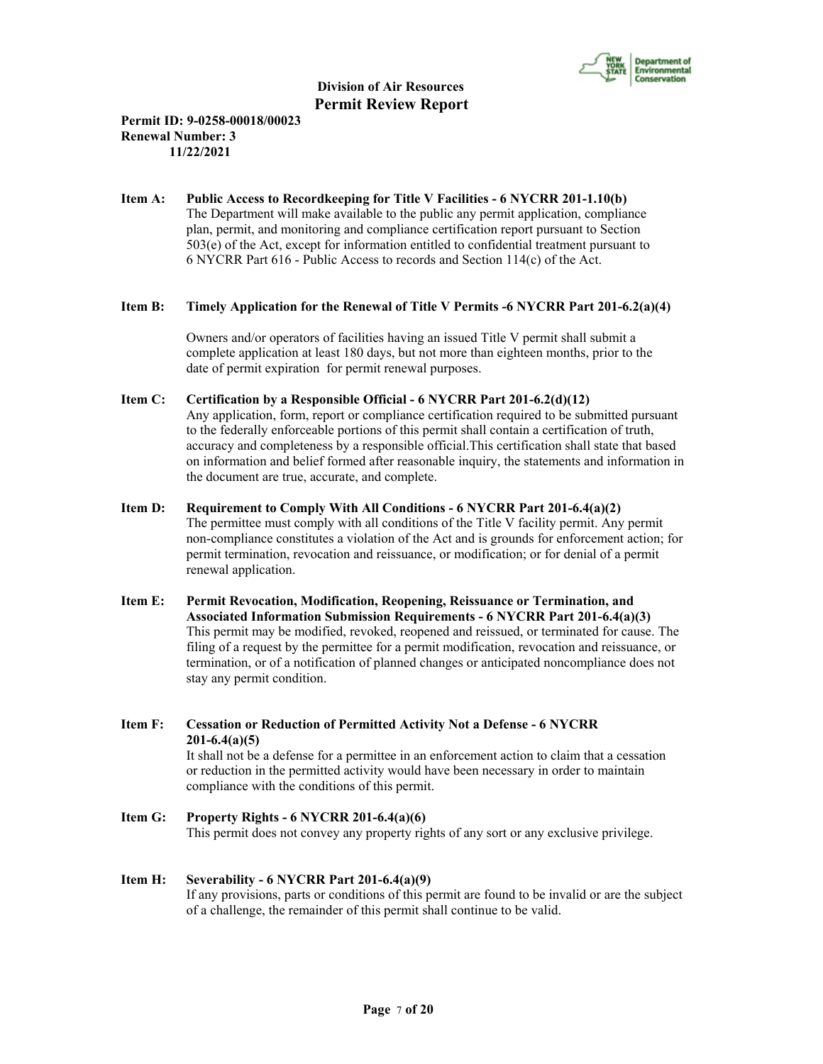

### **Permit ID: 9-0258-00018/00023 Renewal Number: 3 11/22/2021**

**Item A: Public Access to Recordkeeping for Title V Facilities - 6 NYCRR 201-1.10(b)** The Department will make available to the public any permit application, compliance plan, permit, and monitoring and compliance certification report pursuant to Section 503(e) of the Act, except for information entitled to confidential treatment pursuant to 6 NYCRR Part 616 - Public Access to records and Section 114(c) of the Act.

### **Item B: Timely Application for the Renewal of Title V Permits -6 NYCRR Part 201-6.2(a)(4)**

 Owners and/or operators of facilities having an issued Title V permit shall submit a complete application at least 180 days, but not more than eighteen months, prior to the date of permit expiration for permit renewal purposes.

- **Item C: Certification by a Responsible Official 6 NYCRR Part 201-6.2(d)(12)** Any application, form, report or compliance certification required to be submitted pursuant to the federally enforceable portions of this permit shall contain a certification of truth, accuracy and completeness by a responsible official.This certification shall state that based on information and belief formed after reasonable inquiry, the statements and information in the document are true, accurate, and complete.
- **Item D: Requirement to Comply With All Conditions 6 NYCRR Part 201-6.4(a)(2)** The permittee must comply with all conditions of the Title V facility permit. Any permit non-compliance constitutes a violation of the Act and is grounds for enforcement action; for permit termination, revocation and reissuance, or modification; or for denial of a permit renewal application.
- **Item E: Permit Revocation, Modification, Reopening, Reissuance or Termination, and Associated Information Submission Requirements - 6 NYCRR Part 201-6.4(a)(3)** This permit may be modified, revoked, reopened and reissued, or terminated for cause. The filing of a request by the permittee for a permit modification, revocation and reissuance, or termination, or of a notification of planned changes or anticipated noncompliance does not stay any permit condition.
- **Item F: Cessation or Reduction of Permitted Activity Not a Defense 6 NYCRR 201-6.4(a)(5)** It shall not be a defense for a permittee in an enforcement action to claim that a cessation or reduction in the permitted activity would have been necessary in order to maintain compliance with the conditions of this permit.
- **Item G: Property Rights 6 NYCRR 201-6.4(a)(6)** This permit does not convey any property rights of any sort or any exclusive privilege.

# **Item H: Severability - 6 NYCRR Part 201-6.4(a)(9)**

 If any provisions, parts or conditions of this permit are found to be invalid or are the subject of a challenge, the remainder of this permit shall continue to be valid.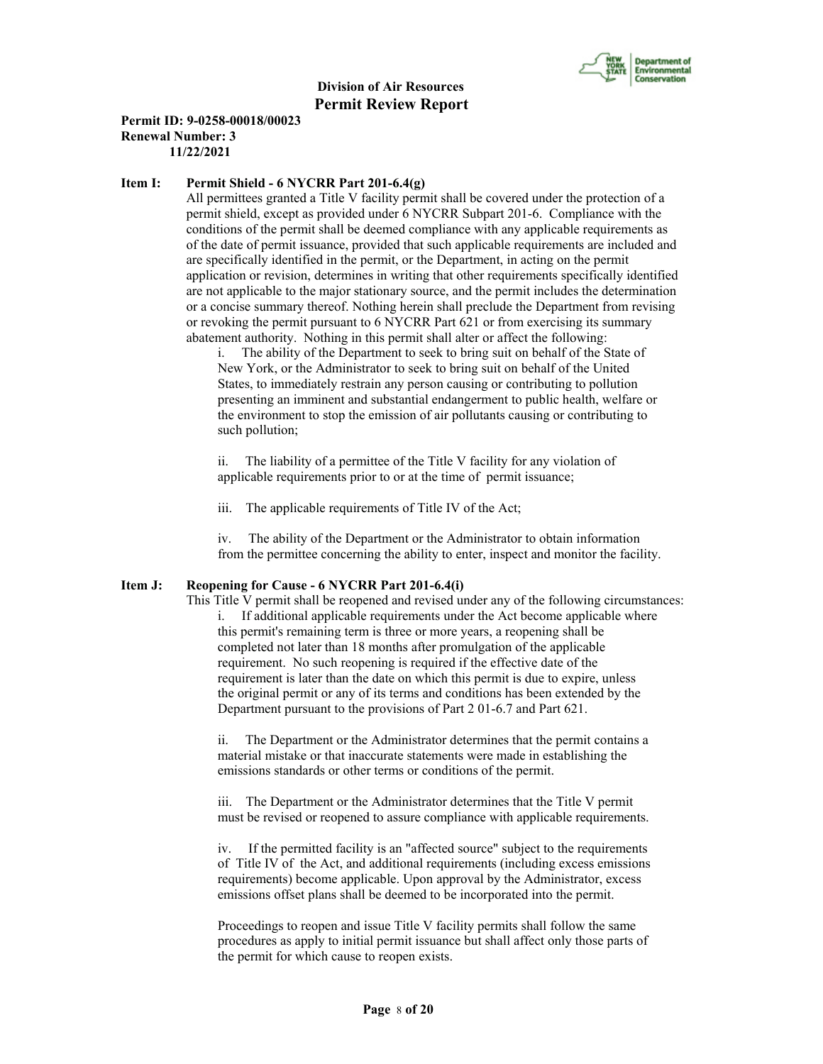

#### **Permit ID: 9-0258-00018/00023 Renewal Number: 3 11/22/2021**

#### **Item I: Permit Shield - 6 NYCRR Part 201-6.4(g)**

 All permittees granted a Title V facility permit shall be covered under the protection of a permit shield, except as provided under 6 NYCRR Subpart 201-6. Compliance with the conditions of the permit shall be deemed compliance with any applicable requirements as of the date of permit issuance, provided that such applicable requirements are included and are specifically identified in the permit, or the Department, in acting on the permit application or revision, determines in writing that other requirements specifically identified are not applicable to the major stationary source, and the permit includes the determination or a concise summary thereof. Nothing herein shall preclude the Department from revising or revoking the permit pursuant to 6 NYCRR Part 621 or from exercising its summary abatement authority. Nothing in this permit shall alter or affect the following:

i. The ability of the Department to seek to bring suit on behalf of the State of New York, or the Administrator to seek to bring suit on behalf of the United States, to immediately restrain any person causing or contributing to pollution presenting an imminent and substantial endangerment to public health, welfare or the environment to stop the emission of air pollutants causing or contributing to such pollution;

ii. The liability of a permittee of the Title V facility for any violation of applicable requirements prior to or at the time of permit issuance;

iii. The applicable requirements of Title IV of the Act;

iv. The ability of the Department or the Administrator to obtain information from the permittee concerning the ability to enter, inspect and monitor the facility.

#### **Item J: Reopening for Cause - 6 NYCRR Part 201-6.4(i)**

 This Title V permit shall be reopened and revised under any of the following circumstances: i. If additional applicable requirements under the Act become applicable where this permit's remaining term is three or more years, a reopening shall be completed not later than 18 months after promulgation of the applicable requirement. No such reopening is required if the effective date of the requirement is later than the date on which this permit is due to expire, unless the original permit or any of its terms and conditions has been extended by the Department pursuant to the provisions of Part 2 01-6.7 and Part 621.

ii. The Department or the Administrator determines that the permit contains a material mistake or that inaccurate statements were made in establishing the emissions standards or other terms or conditions of the permit.

iii. The Department or the Administrator determines that the Title V permit must be revised or reopened to assure compliance with applicable requirements.

iv. If the permitted facility is an "affected source" subject to the requirements of Title IV of the Act, and additional requirements (including excess emissions requirements) become applicable. Upon approval by the Administrator, excess emissions offset plans shall be deemed to be incorporated into the permit.

Proceedings to reopen and issue Title V facility permits shall follow the same procedures as apply to initial permit issuance but shall affect only those parts of the permit for which cause to reopen exists.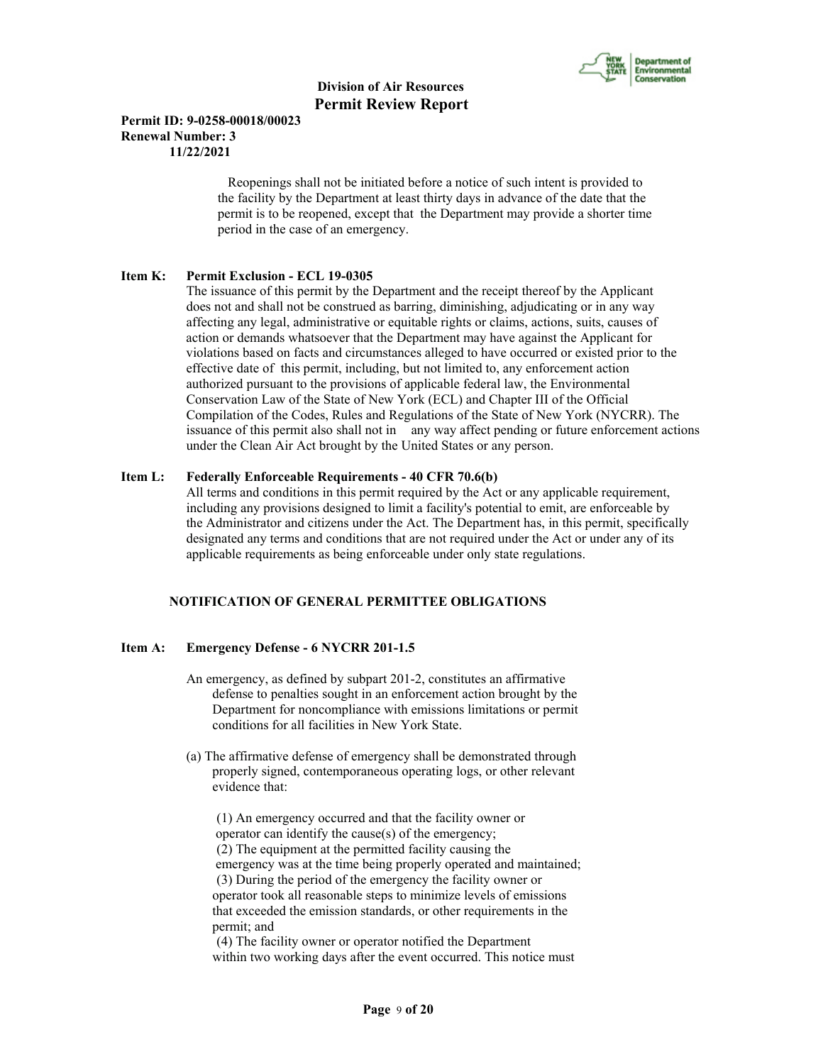

#### **Permit ID: 9-0258-00018/00023 Renewal Number: 3 11/22/2021**

 Reopenings shall not be initiated before a notice of such intent is provided to the facility by the Department at least thirty days in advance of the date that the permit is to be reopened, except that the Department may provide a shorter time period in the case of an emergency.

#### **Item K: Permit Exclusion - ECL 19-0305**

 The issuance of this permit by the Department and the receipt thereof by the Applicant does not and shall not be construed as barring, diminishing, adjudicating or in any way affecting any legal, administrative or equitable rights or claims, actions, suits, causes of action or demands whatsoever that the Department may have against the Applicant for violations based on facts and circumstances alleged to have occurred or existed prior to the effective date of this permit, including, but not limited to, any enforcement action authorized pursuant to the provisions of applicable federal law, the Environmental Conservation Law of the State of New York (ECL) and Chapter III of the Official Compilation of the Codes, Rules and Regulations of the State of New York (NYCRR). The issuance of this permit also shall not in any way affect pending or future enforcement actions under the Clean Air Act brought by the United States or any person.

#### **Item L: Federally Enforceable Requirements - 40 CFR 70.6(b)**

 All terms and conditions in this permit required by the Act or any applicable requirement, including any provisions designed to limit a facility's potential to emit, are enforceable by the Administrator and citizens under the Act. The Department has, in this permit, specifically designated any terms and conditions that are not required under the Act or under any of its applicable requirements as being enforceable under only state regulations.

#### **NOTIFICATION OF GENERAL PERMITTEE OBLIGATIONS**

#### **Item A: Emergency Defense - 6 NYCRR 201-1.5**

- An emergency, as defined by subpart 201-2, constitutes an affirmative defense to penalties sought in an enforcement action brought by the Department for noncompliance with emissions limitations or permit conditions for all facilities in New York State.
- (a) The affirmative defense of emergency shall be demonstrated through properly signed, contemporaneous operating logs, or other relevant evidence that:

 (1) An emergency occurred and that the facility owner or operator can identify the cause(s) of the emergency; (2) The equipment at the permitted facility causing the emergency was at the time being properly operated and maintained; (3) During the period of the emergency the facility owner or operator took all reasonable steps to minimize levels of emissions that exceeded the emission standards, or other requirements in the permit; and

 (4) The facility owner or operator notified the Department within two working days after the event occurred. This notice must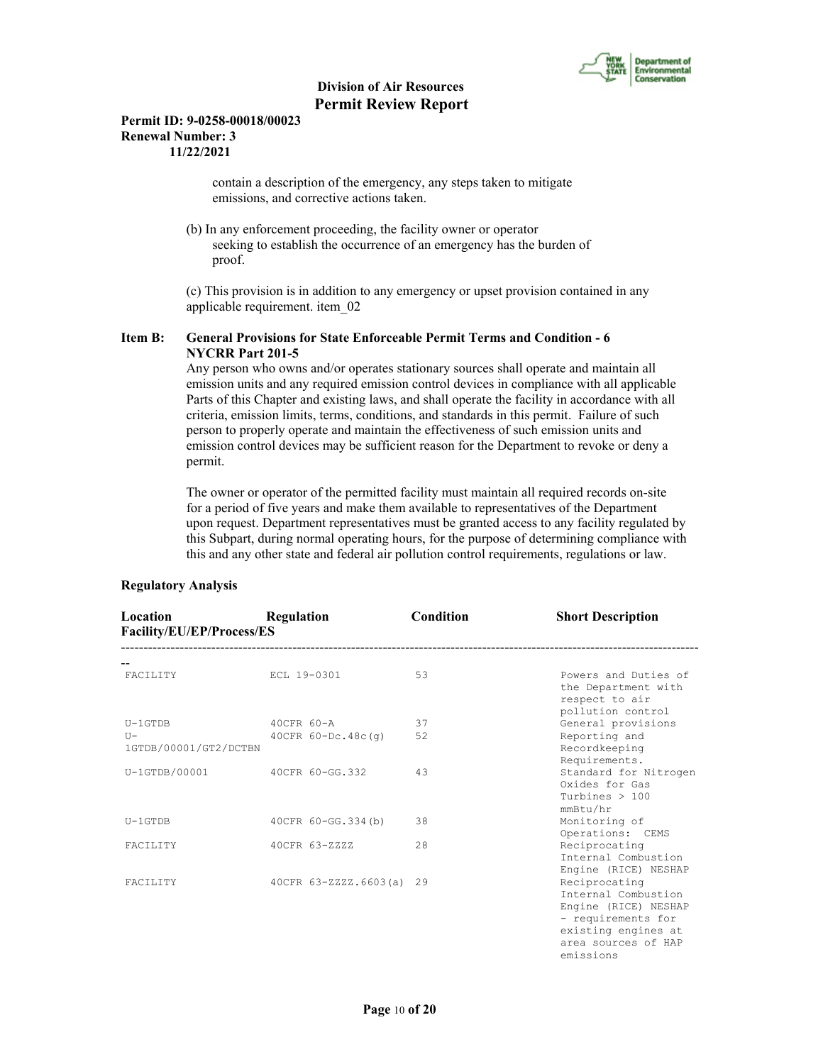

#### **Permit ID: 9-0258-00018/00023 Renewal Number: 3 11/22/2021**

 contain a description of the emergency, any steps taken to mitigate emissions, and corrective actions taken.

 (b) In any enforcement proceeding, the facility owner or operator seeking to establish the occurrence of an emergency has the burden of proof.

 (c) This provision is in addition to any emergency or upset provision contained in any applicable requirement. item\_02

#### **Item B: General Provisions for State Enforceable Permit Terms and Condition - 6 NYCRR Part 201-5**

 Any person who owns and/or operates stationary sources shall operate and maintain all emission units and any required emission control devices in compliance with all applicable Parts of this Chapter and existing laws, and shall operate the facility in accordance with all criteria, emission limits, terms, conditions, and standards in this permit. Failure of such person to properly operate and maintain the effectiveness of such emission units and emission control devices may be sufficient reason for the Department to revoke or deny a permit.

 The owner or operator of the permitted facility must maintain all required records on-site for a period of five years and make them available to representatives of the Department upon request. Department representatives must be granted access to any facility regulated by this Subpart, during normal operating hours, for the purpose of determining compliance with this and any other state and federal air pollution control requirements, regulations or law.

| Location<br>Facility/EU/EP/Process/ES | Regulation               | Condition | <b>Short Description</b>                                                                                                                      |
|---------------------------------------|--------------------------|-----------|-----------------------------------------------------------------------------------------------------------------------------------------------|
|                                       |                          |           |                                                                                                                                               |
| <b>FACTLITY</b>                       | ECL 19-0301              | 53        | Powers and Duties of<br>the Department with<br>respect to air<br>pollution control                                                            |
| $U-1$ GTDB                            | $40CFR$ 60-A             | 37        | General provisions                                                                                                                            |
| $T -$<br>1GTDB/00001/GT2/DCTBN        | $40CFR 60-DC.48c(q)$     | 52        | Reporting and<br>Recordkeeping<br>Requirements.                                                                                               |
| $U-1GTDB/00001$                       | 40CFR 60-GG.332          | 43        | Standard for Nitrogen<br>Oxides for Gas<br>Turbines $> 100$<br>mmBtu/hr                                                                       |
| $U-1$ GTDB                            | 40CFR 60-GG.334(b)       | 38        | Monitoring of<br>Operations: CEMS                                                                                                             |
| <b>FACTLITY</b>                       | 40CFR 63-ZZZZ            | 2.8       | Reciprocating<br>Internal Combustion<br>Engine (RICE) NESHAP                                                                                  |
| <b>FACTLITY</b>                       | 40CFR 63-ZZZZ.6603(a) 29 |           | Reciprocating<br>Internal Combustion<br>Engine (RICE) NESHAP<br>- requirements for<br>existing engines at<br>area sources of HAP<br>emissions |

### **Regulatory Analysis**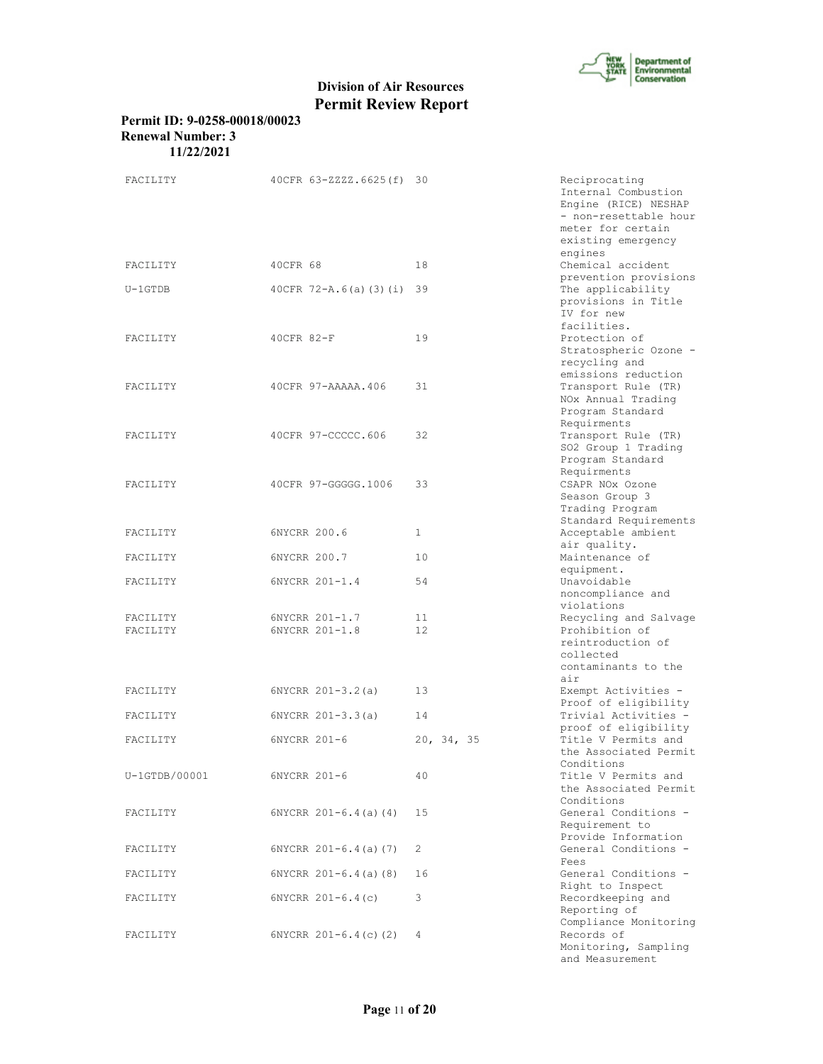

#### **Permit ID: 9-0258-00018/00023 Renewal Number: 3 11/22/2021**

| FACILITY             | 40CFR 63-ZZZZ.6625(f) 30         |            | Reciprocating<br>Internal Combustion<br>Engine (RICE) NESHAP<br>- non-resettable hour<br>meter for certain<br>existing emergency<br>engines |
|----------------------|----------------------------------|------------|---------------------------------------------------------------------------------------------------------------------------------------------|
| FACILITY             | 40CFR 68                         | 18         | Chemical accident                                                                                                                           |
| $U-1GTDB$            | 40CFR 72-A.6(a)(3)(i)            | 39         | prevention provisions<br>The applicability<br>provisions in Title<br>IV for new<br>facilities.                                              |
| FACILITY             | 40CFR 82-F                       | 19         | Protection of<br>Stratospheric Ozone -<br>recycling and<br>emissions reduction                                                              |
| FACILITY             | 40CFR 97-AAAAA.406               | 31         | Transport Rule (TR)<br>NOx Annual Trading<br>Program Standard<br>Requirments                                                                |
| FACILITY             | 40CFR 97-CCCCC.606               | 32         | Transport Rule (TR)<br>SO2 Group 1 Trading<br>Program Standard<br>Requirments                                                               |
| FACILITY             | 40CFR 97-GGGGG.1006              | 33         | CSAPR NOx Ozone<br>Season Group 3<br>Trading Program<br>Standard Requirements                                                               |
| FACILITY             | 6NYCRR 200.6                     | 1          | Acceptable ambient<br>air quality.                                                                                                          |
| FACILITY             | 6NYCRR 200.7                     | 10         | Maintenance of                                                                                                                              |
| FACILITY             | 6NYCRR 201-1.4                   | 54         | equipment.<br>Unavoidable<br>noncompliance and<br>violations                                                                                |
| FACILITY<br>FACILITY | 6NYCRR 201-1.7<br>6NYCRR 201-1.8 | 11<br>12   | Recycling and Salvage<br>Prohibition of<br>reintroduction of<br>collected<br>contaminants to the<br>air                                     |
| FACILITY             | $6NYCRR 201 - 3.2(a)$            | 13         | Exempt Activities -<br>Proof of eligibility                                                                                                 |
| FACILITY             | $6NYCRR 201-3.3(a)$              | 14         | Trivial Activities -<br>proof of eligibility                                                                                                |
| FACILITY             | 6NYCRR 201-6                     | 20, 34, 35 | Title V Permits and<br>the Associated Permit<br>Conditions                                                                                  |
| U-1GTDB/00001        | 6NYCRR 201-6                     | 40         | Title V Permits and<br>the Associated Permit<br>Conditions                                                                                  |
| FACILITY             | $6NYCRR 201-6.4(a) (4)$          | 15         | General Conditions -<br>Requirement to<br>Provide Information                                                                               |
| FACILITY             | $6NYCRR 201-6.4(a) (7)$          | 2          | General Conditions -<br>Fees                                                                                                                |
| FACILITY             | $6NYCRR 201-6.4(a) (8)$          | 16         | General Conditions -<br>Right to Inspect                                                                                                    |
| FACILITY             | $6NYCRR$ $201-6.4(c)$            | 3          | Recordkeeping and<br>Reporting of<br>Compliance Monitoring                                                                                  |
| FACILITY             | 6NYCRR $201-6.4(c)$ (2)          | 4          | Records of<br>Monitoring, Sampling<br>and Measurement                                                                                       |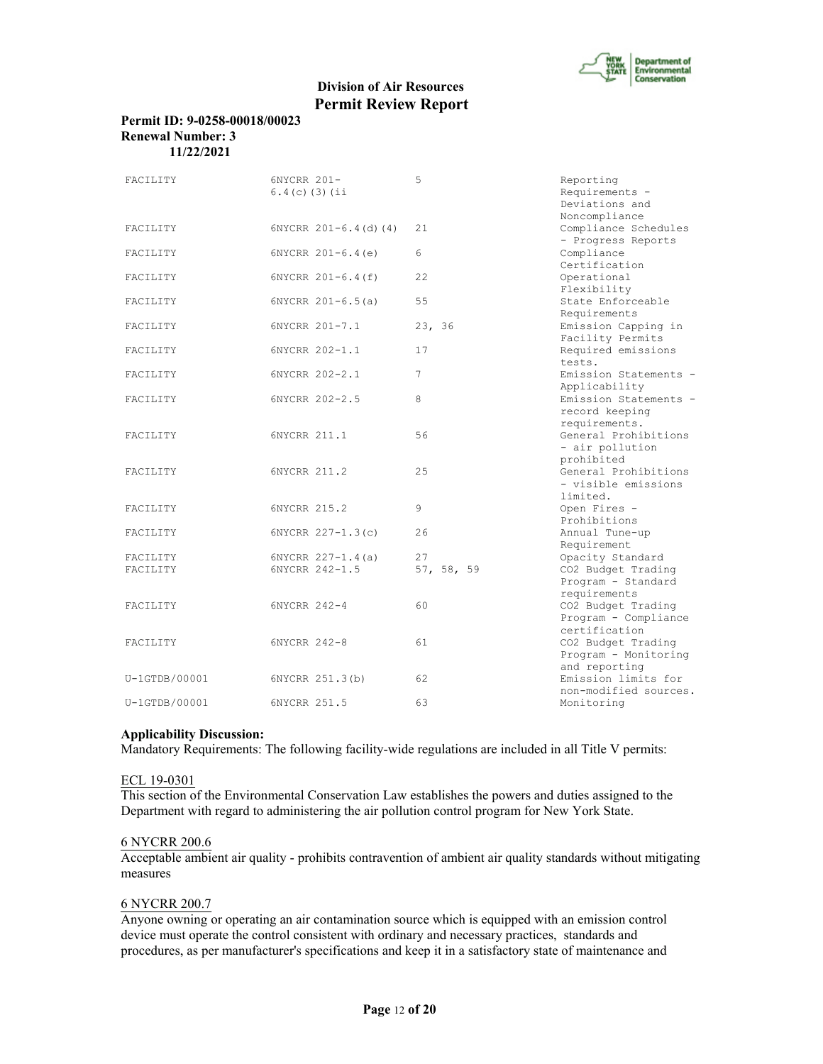

#### **Permit ID: 9-0258-00018/00023 Renewal Number: 3 11/22/2021**

| FACILITY        | 6NYCRR 201-<br>$6.4(c)$ (3) (ii | 5          | Reporting<br>Requirements -<br>Deviations and<br>Noncompliance |
|-----------------|---------------------------------|------------|----------------------------------------------------------------|
| FACILITY        | $6NYCRR 201-6.4(d) (4)$         | 21         | Compliance Schedules<br>- Progress Reports                     |
| FACILITY        | $6NYCRR$ $201-6.4(e)$           | 6          | Compliance<br>Certification                                    |
| FACILITY        | $6NYCRR 201-6.4(f)$             | 22         | Operational<br>Flexibility                                     |
| FACILITY        | $6NYCRR 201-6.5(a)$             | 55         | State Enforceable<br>Requirements                              |
| FACILITY        | 6NYCRR 201-7.1                  | 23, 36     | Emission Capping in<br>Facility Permits                        |
| FACILITY        | 6NYCRR 202-1.1                  | 17         | Required emissions<br>tests.                                   |
| FACILITY        | 6NYCRR 202-2.1                  | 7          | Emission Statements -<br>Applicability                         |
| FACILITY        | 6NYCRR 202-2.5                  | 8          | Emission Statements -<br>record keeping<br>requirements.       |
| FACILITY        | 6NYCRR 211.1                    | 56         | General Prohibitions<br>- air pollution<br>prohibited          |
| FACILITY        | 6NYCRR 211.2                    | 25         | General Prohibitions<br>- visible emissions<br>limited.        |
| FACILITY        | 6NYCRR 215.2                    | 9          | Open Fires -<br>Prohibitions                                   |
| FACILITY        | 6NYCRR 227-1.3(c)               | 26         | Annual Tune-up<br>Requirement                                  |
| FACILITY        | 6NYCRR $227 - 1.4$ (a)          | 27         | Opacity Standard                                               |
| FACILITY        | 6NYCRR 242-1.5                  | 57, 58, 59 | CO2 Budget Trading<br>Program - Standard<br>requirements       |
| FACILITY        | 6NYCRR 242-4                    | 60         | CO2 Budget Trading<br>Program - Compliance<br>certification    |
| FACILITY        | 6NYCRR 242-8                    | 61         | CO2 Budget Trading<br>Program - Monitoring<br>and reporting    |
| $U-1GTDB/00001$ | 6NYCRR 251.3(b)                 | 62         | Emission limits for<br>non-modified sources.                   |
| U-1GTDB/00001   | 6NYCRR 251.5                    | 63         | Monitoring                                                     |

#### **Applicability Discussion:**

Mandatory Requirements: The following facility-wide regulations are included in all Title V permits:

## ECL 19-0301

This section of the Environmental Conservation Law establishes the powers and duties assigned to the Department with regard to administering the air pollution control program for New York State.

#### 6 NYCRR 200.6

Acceptable ambient air quality - prohibits contravention of ambient air quality standards without mitigating measures

#### 6 NYCRR 200.7

Anyone owning or operating an air contamination source which is equipped with an emission control device must operate the control consistent with ordinary and necessary practices, standards and procedures, as per manufacturer's specifications and keep it in a satisfactory state of maintenance and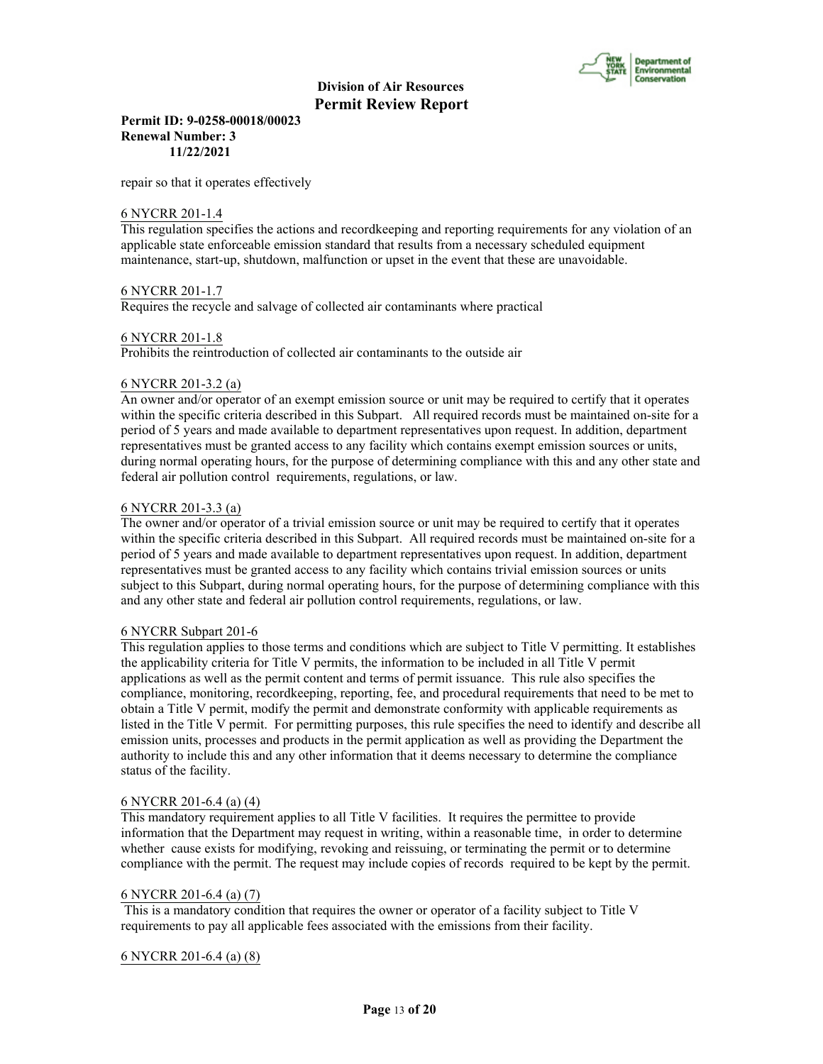

**Permit ID: 9-0258-00018/00023 Renewal Number: 3 11/22/2021**

repair so that it operates effectively

#### 6 NYCRR 201-1.4

This regulation specifies the actions and recordkeeping and reporting requirements for any violation of an applicable state enforceable emission standard that results from a necessary scheduled equipment maintenance, start-up, shutdown, malfunction or upset in the event that these are unavoidable.

#### 6 NYCRR 201-1.7

Requires the recycle and salvage of collected air contaminants where practical

#### 6 NYCRR 201-1.8

Prohibits the reintroduction of collected air contaminants to the outside air

#### 6 NYCRR 201-3.2 (a)

An owner and/or operator of an exempt emission source or unit may be required to certify that it operates within the specific criteria described in this Subpart. All required records must be maintained on-site for a period of 5 years and made available to department representatives upon request. In addition, department representatives must be granted access to any facility which contains exempt emission sources or units, during normal operating hours, for the purpose of determining compliance with this and any other state and federal air pollution control requirements, regulations, or law.

#### 6 NYCRR 201-3.3 (a)

The owner and/or operator of a trivial emission source or unit may be required to certify that it operates within the specific criteria described in this Subpart. All required records must be maintained on-site for a period of 5 years and made available to department representatives upon request. In addition, department representatives must be granted access to any facility which contains trivial emission sources or units subject to this Subpart, during normal operating hours, for the purpose of determining compliance with this and any other state and federal air pollution control requirements, regulations, or law.

#### 6 NYCRR Subpart 201-6

This regulation applies to those terms and conditions which are subject to Title V permitting. It establishes the applicability criteria for Title V permits, the information to be included in all Title V permit applications as well as the permit content and terms of permit issuance. This rule also specifies the compliance, monitoring, recordkeeping, reporting, fee, and procedural requirements that need to be met to obtain a Title V permit, modify the permit and demonstrate conformity with applicable requirements as listed in the Title V permit. For permitting purposes, this rule specifies the need to identify and describe all emission units, processes and products in the permit application as well as providing the Department the authority to include this and any other information that it deems necessary to determine the compliance status of the facility.

#### 6 NYCRR 201-6.4 (a) (4)

This mandatory requirement applies to all Title V facilities. It requires the permittee to provide information that the Department may request in writing, within a reasonable time, in order to determine whether cause exists for modifying, revoking and reissuing, or terminating the permit or to determine compliance with the permit. The request may include copies of records required to be kept by the permit.

#### 6 NYCRR 201-6.4 (a) (7)

 This is a mandatory condition that requires the owner or operator of a facility subject to Title V requirements to pay all applicable fees associated with the emissions from their facility.

#### 6 NYCRR 201-6.4 (a) (8)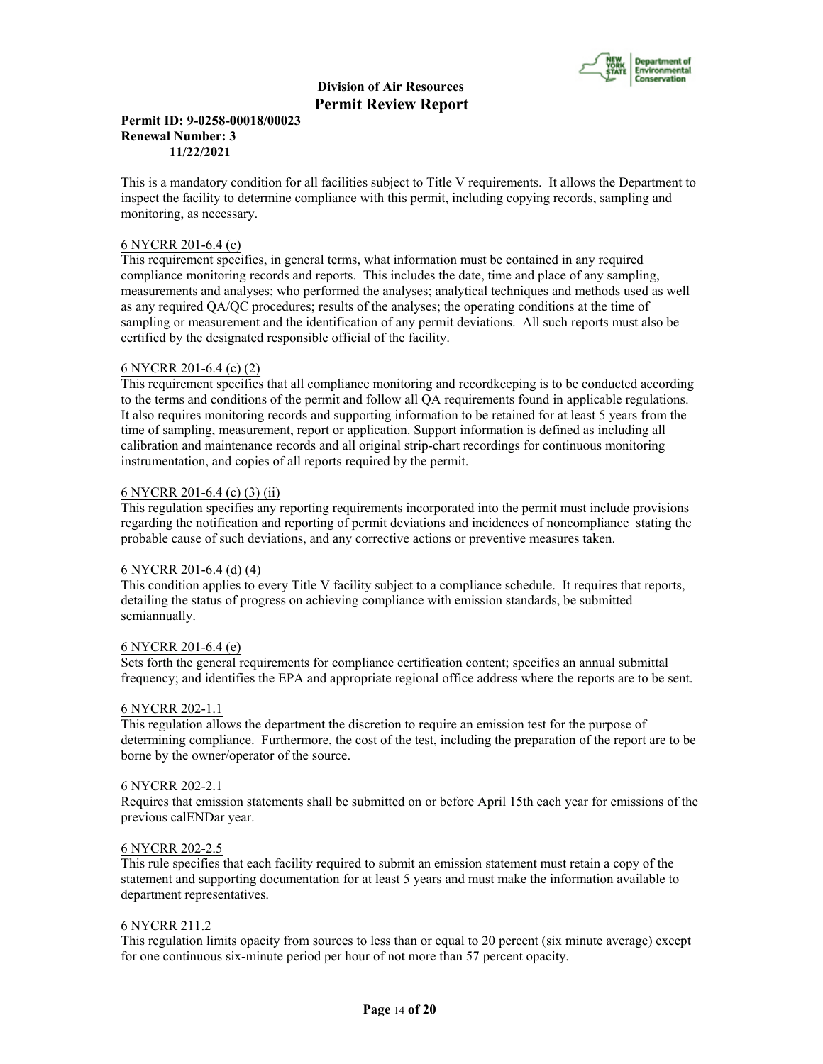

#### **Permit ID: 9-0258-00018/00023 Renewal Number: 3 11/22/2021**

This is a mandatory condition for all facilities subject to Title V requirements. It allows the Department to inspect the facility to determine compliance with this permit, including copying records, sampling and monitoring, as necessary.

#### 6 NYCRR 201-6.4 (c)

This requirement specifies, in general terms, what information must be contained in any required compliance monitoring records and reports. This includes the date, time and place of any sampling, measurements and analyses; who performed the analyses; analytical techniques and methods used as well as any required QA/QC procedures; results of the analyses; the operating conditions at the time of sampling or measurement and the identification of any permit deviations. All such reports must also be certified by the designated responsible official of the facility.

#### 6 NYCRR 201-6.4 (c) (2)

This requirement specifies that all compliance monitoring and recordkeeping is to be conducted according to the terms and conditions of the permit and follow all QA requirements found in applicable regulations. It also requires monitoring records and supporting information to be retained for at least 5 years from the time of sampling, measurement, report or application. Support information is defined as including all calibration and maintenance records and all original strip-chart recordings for continuous monitoring instrumentation, and copies of all reports required by the permit.

#### 6 NYCRR 201-6.4 (c) (3) (ii)

This regulation specifies any reporting requirements incorporated into the permit must include provisions regarding the notification and reporting of permit deviations and incidences of noncompliance stating the probable cause of such deviations, and any corrective actions or preventive measures taken.

#### 6 NYCRR 201-6.4 (d) (4)

This condition applies to every Title V facility subject to a compliance schedule. It requires that reports, detailing the status of progress on achieving compliance with emission standards, be submitted semiannually.

#### 6 NYCRR 201-6.4 (e)

Sets forth the general requirements for compliance certification content; specifies an annual submittal frequency; and identifies the EPA and appropriate regional office address where the reports are to be sent.

#### 6 NYCRR 202-1.1

This regulation allows the department the discretion to require an emission test for the purpose of determining compliance. Furthermore, the cost of the test, including the preparation of the report are to be borne by the owner/operator of the source.

#### 6 NYCRR 202-2.1

Requires that emission statements shall be submitted on or before April 15th each year for emissions of the previous calENDar year.

#### 6 NYCRR 202-2.5

This rule specifies that each facility required to submit an emission statement must retain a copy of the statement and supporting documentation for at least 5 years and must make the information available to department representatives.

#### 6 NYCRR 211.2

This regulation limits opacity from sources to less than or equal to 20 percent (six minute average) except for one continuous six-minute period per hour of not more than 57 percent opacity.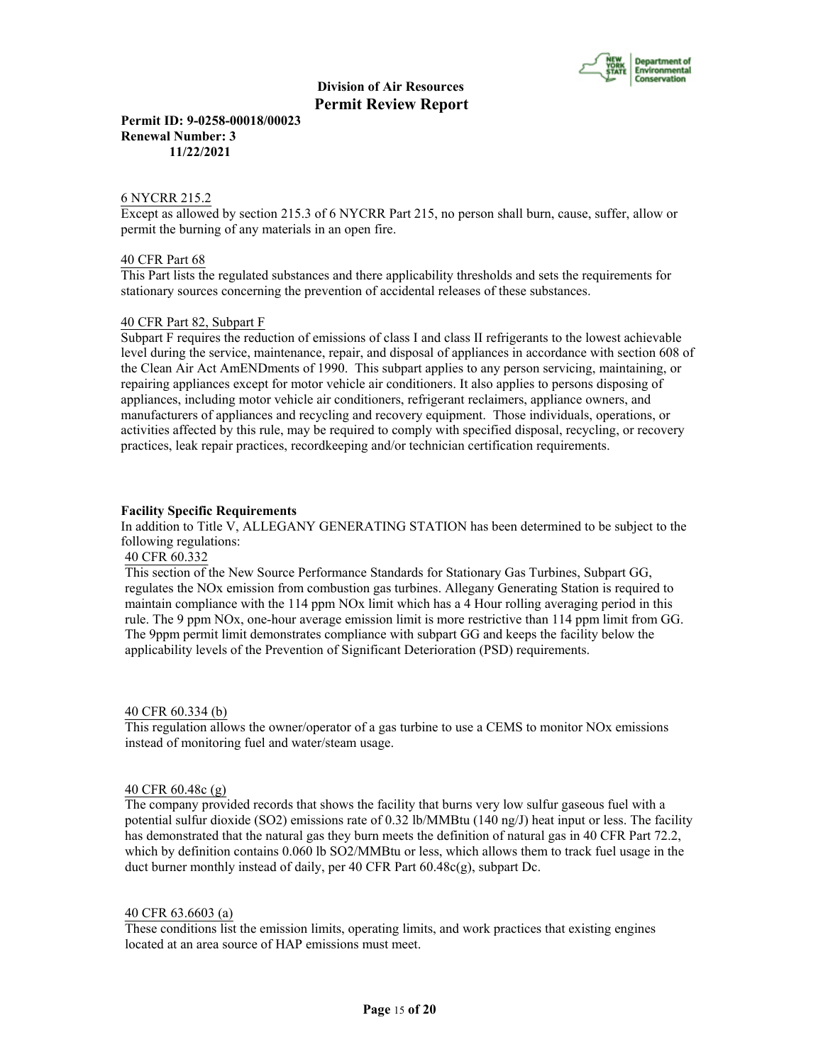

**Permit ID: 9-0258-00018/00023 Renewal Number: 3 11/22/2021**

#### 6 NYCRR 215.2

Except as allowed by section 215.3 of 6 NYCRR Part 215, no person shall burn, cause, suffer, allow or permit the burning of any materials in an open fire.

#### 40 CFR Part 68

This Part lists the regulated substances and there applicability thresholds and sets the requirements for stationary sources concerning the prevention of accidental releases of these substances.

#### 40 CFR Part 82, Subpart F

Subpart F requires the reduction of emissions of class I and class II refrigerants to the lowest achievable level during the service, maintenance, repair, and disposal of appliances in accordance with section 608 of the Clean Air Act AmENDments of 1990. This subpart applies to any person servicing, maintaining, or repairing appliances except for motor vehicle air conditioners. It also applies to persons disposing of appliances, including motor vehicle air conditioners, refrigerant reclaimers, appliance owners, and manufacturers of appliances and recycling and recovery equipment. Those individuals, operations, or activities affected by this rule, may be required to comply with specified disposal, recycling, or recovery practices, leak repair practices, recordkeeping and/or technician certification requirements.

#### **Facility Specific Requirements**

In addition to Title V, ALLEGANY GENERATING STATION has been determined to be subject to the following regulations:

#### 40 CFR 60.332

This section of the New Source Performance Standards for Stationary Gas Turbines, Subpart GG, regulates the NOx emission from combustion gas turbines. Allegany Generating Station is required to maintain compliance with the 114 ppm NOx limit which has a 4 Hour rolling averaging period in this rule. The 9 ppm NOx, one-hour average emission limit is more restrictive than 114 ppm limit from GG. The 9ppm permit limit demonstrates compliance with subpart GG and keeps the facility below the applicability levels of the Prevention of Significant Deterioration (PSD) requirements.

#### 40 CFR 60.334 (b)

This regulation allows the owner/operator of a gas turbine to use a CEMS to monitor NOx emissions instead of monitoring fuel and water/steam usage.

#### 40 CFR 60.48c (g)

The company provided records that shows the facility that burns very low sulfur gaseous fuel with a potential sulfur dioxide (SO2) emissions rate of 0.32 lb/MMBtu (140 ng/J) heat input or less. The facility has demonstrated that the natural gas they burn meets the definition of natural gas in 40 CFR Part 72.2, which by definition contains 0.060 lb SO2/MMBtu or less, which allows them to track fuel usage in the duct burner monthly instead of daily, per 40 CFR Part 60.48c(g), subpart Dc.

#### 40 CFR 63.6603 (a)

These conditions list the emission limits, operating limits, and work practices that existing engines located at an area source of HAP emissions must meet.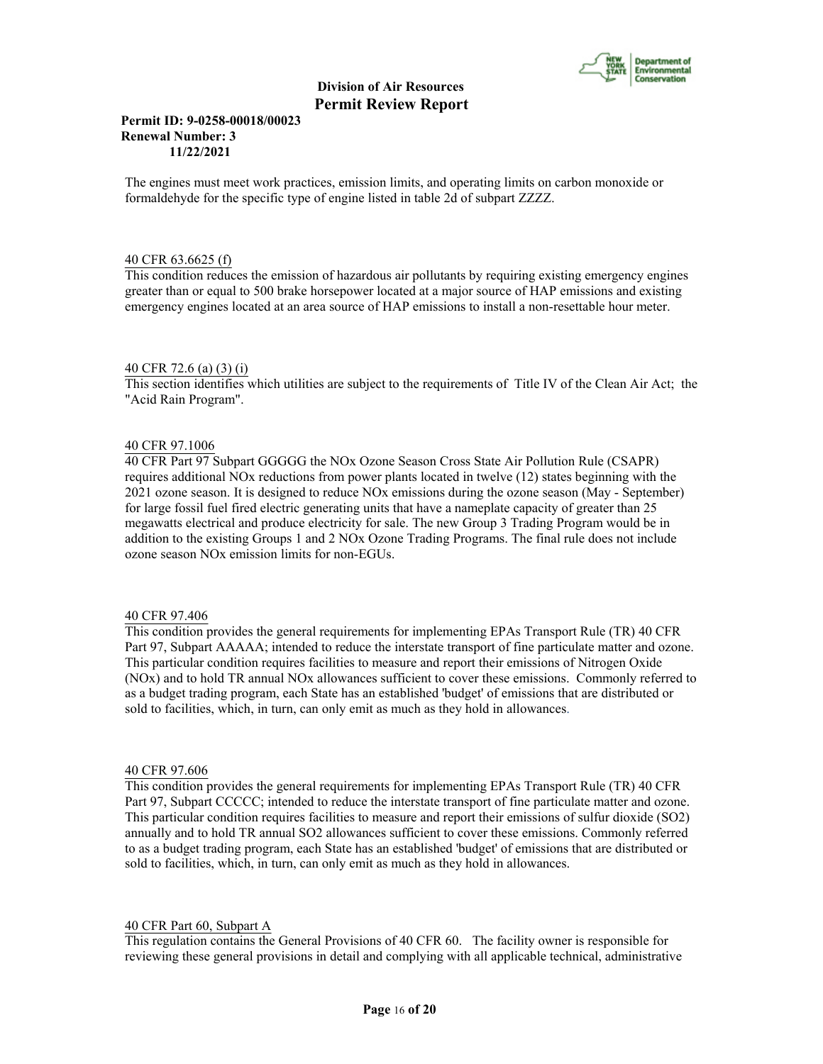

#### **Permit ID: 9-0258-00018/00023 Renewal Number: 3 11/22/2021**

The engines must meet work practices, emission limits, and operating limits on carbon monoxide or formaldehyde for the specific type of engine listed in table 2d of subpart ZZZZ.

#### 40 CFR 63.6625 (f)

This condition reduces the emission of hazardous air pollutants by requiring existing emergency engines greater than or equal to 500 brake horsepower located at a major source of HAP emissions and existing emergency engines located at an area source of HAP emissions to install a non-resettable hour meter.

#### 40 CFR 72.6 (a) (3) (i)

This section identifies which utilities are subject to the requirements of Title IV of the Clean Air Act; the "Acid Rain Program".

#### 40 CFR 97.1006

40 CFR Part 97 Subpart GGGGG the NOx Ozone Season Cross State Air Pollution Rule (CSAPR) requires additional NOx reductions from power plants located in twelve (12) states beginning with the 2021 ozone season. It is designed to reduce NOx emissions during the ozone season (May - September) for large fossil fuel fired electric generating units that have a nameplate capacity of greater than 25 megawatts electrical and produce electricity for sale. The new Group 3 Trading Program would be in addition to the existing Groups 1 and 2 NOx Ozone Trading Programs. The final rule does not include ozone season NOx emission limits for non-EGUs.

#### 40 CFR 97.406

This condition provides the general requirements for implementing EPAs Transport Rule (TR) 40 CFR Part 97, Subpart AAAAA; intended to reduce the interstate transport of fine particulate matter and ozone. This particular condition requires facilities to measure and report their emissions of Nitrogen Oxide (NOx) and to hold TR annual NOx allowances sufficient to cover these emissions. Commonly referred to as a budget trading program, each State has an established 'budget' of emissions that are distributed or sold to facilities, which, in turn, can only emit as much as they hold in allowances.

#### 40 CFR 97.606

This condition provides the general requirements for implementing EPAs Transport Rule (TR) 40 CFR Part 97, Subpart CCCCC; intended to reduce the interstate transport of fine particulate matter and ozone. This particular condition requires facilities to measure and report their emissions of sulfur dioxide (SO2) annually and to hold TR annual SO2 allowances sufficient to cover these emissions. Commonly referred to as a budget trading program, each State has an established 'budget' of emissions that are distributed or sold to facilities, which, in turn, can only emit as much as they hold in allowances.

#### 40 CFR Part 60, Subpart A

This regulation contains the General Provisions of 40 CFR 60. The facility owner is responsible for reviewing these general provisions in detail and complying with all applicable technical, administrative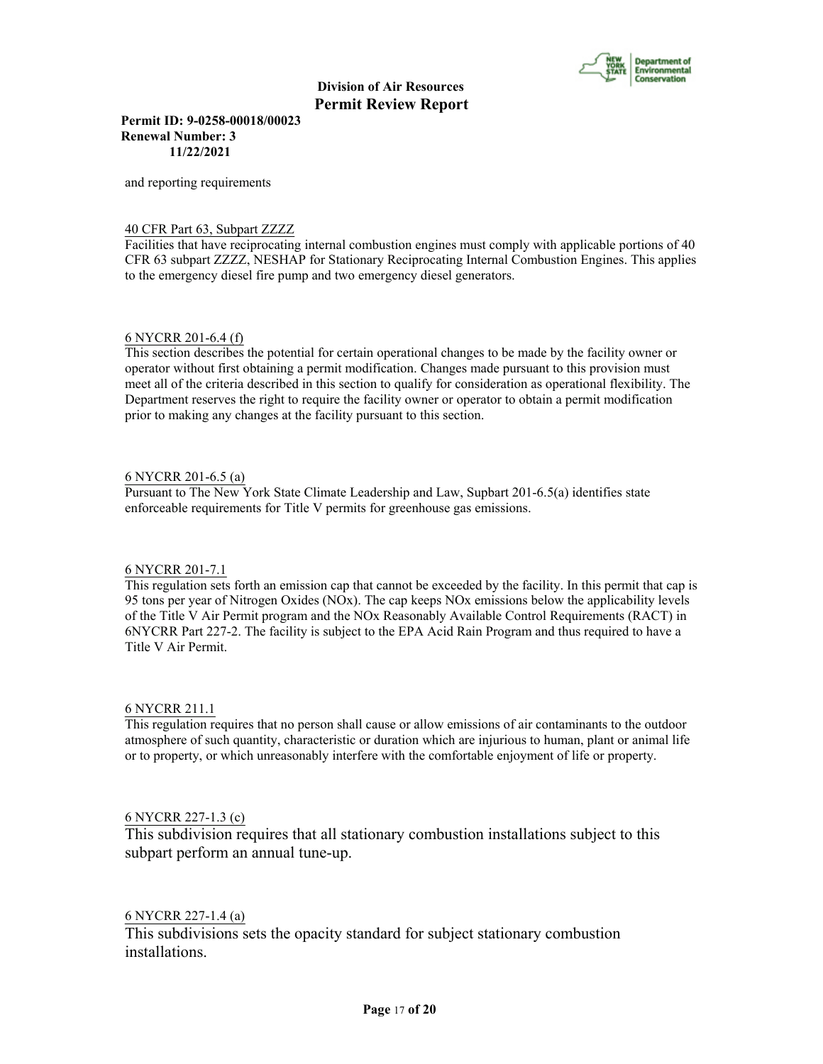

**Permit ID: 9-0258-00018/00023 Renewal Number: 3 11/22/2021**

and reporting requirements

#### 40 CFR Part 63, Subpart ZZZZ

Facilities that have reciprocating internal combustion engines must comply with applicable portions of 40 CFR 63 subpart ZZZZ, NESHAP for Stationary Reciprocating Internal Combustion Engines. This applies to the emergency diesel fire pump and two emergency diesel generators.

#### 6 NYCRR 201-6.4 (f)

This section describes the potential for certain operational changes to be made by the facility owner or operator without first obtaining a permit modification. Changes made pursuant to this provision must meet all of the criteria described in this section to qualify for consideration as operational flexibility. The Department reserves the right to require the facility owner or operator to obtain a permit modification prior to making any changes at the facility pursuant to this section.

#### 6 NYCRR 201-6.5 (a)

Pursuant to The New York State Climate Leadership and Law, Supbart 201-6.5(a) identifies state enforceable requirements for Title V permits for greenhouse gas emissions.

#### 6 NYCRR 201-7.1

This regulation sets forth an emission cap that cannot be exceeded by the facility. In this permit that cap is 95 tons per year of Nitrogen Oxides (NOx). The cap keeps NOx emissions below the applicability levels of the Title V Air Permit program and the NOx Reasonably Available Control Requirements (RACT) in 6NYCRR Part 227-2. The facility is subject to the EPA Acid Rain Program and thus required to have a Title V Air Permit.

### 6 NYCRR 211.1

This regulation requires that no person shall cause or allow emissions of air contaminants to the outdoor atmosphere of such quantity, characteristic or duration which are injurious to human, plant or animal life or to property, or which unreasonably interfere with the comfortable enjoyment of life or property.

#### 6 NYCRR 227-1.3 (c)

This subdivision requires that all stationary combustion installations subject to this subpart perform an annual tune-up.

### 6 NYCRR 227-1.4 (a)

This subdivisions sets the opacity standard for subject stationary combustion installations.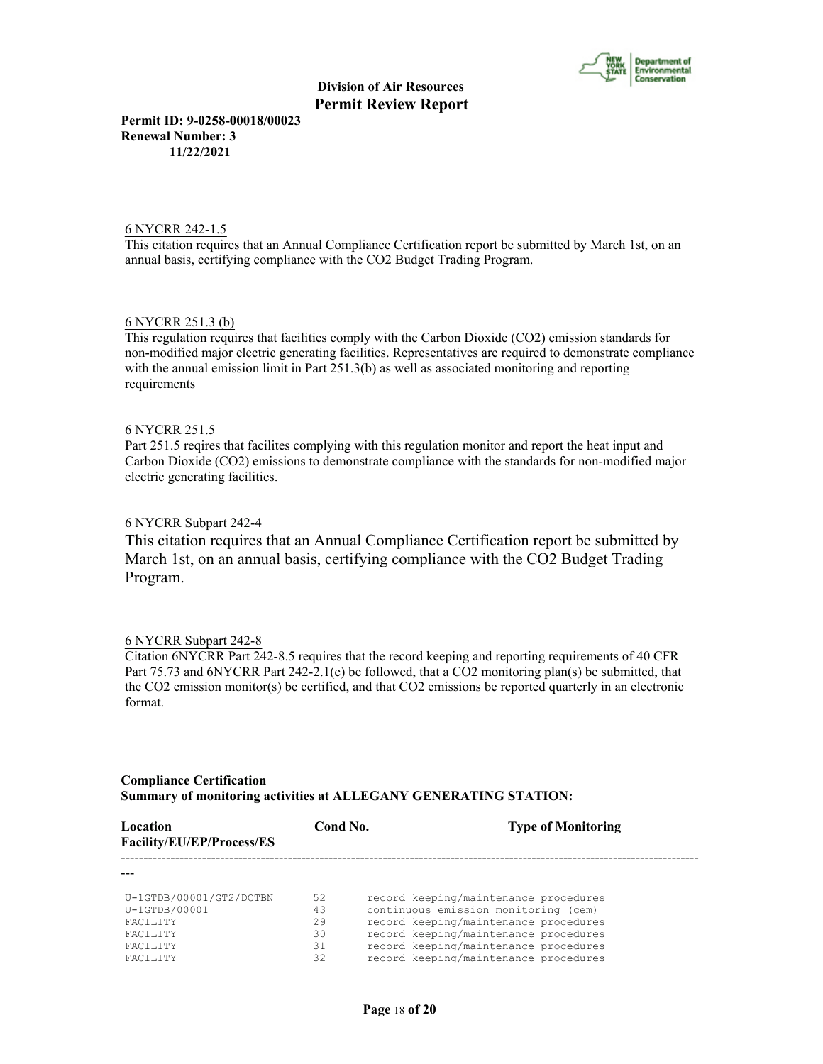

**Permit ID: 9-0258-00018/00023 Renewal Number: 3 11/22/2021**

#### 6 NYCRR 242-1.5

This citation requires that an Annual Compliance Certification report be submitted by March 1st, on an annual basis, certifying compliance with the CO2 Budget Trading Program.

#### 6 NYCRR 251.3 (b)

This regulation requires that facilities comply with the Carbon Dioxide (CO2) emission standards for non-modified major electric generating facilities. Representatives are required to demonstrate compliance with the annual emission limit in Part 251.3(b) as well as associated monitoring and reporting requirements

#### 6 NYCRR 251.5

Part 251.5 reqires that facilites complying with this regulation monitor and report the heat input and Carbon Dioxide (CO2) emissions to demonstrate compliance with the standards for non-modified major electric generating facilities.

#### 6 NYCRR Subpart 242-4

This citation requires that an Annual Compliance Certification report be submitted by March 1st, on an annual basis, certifying compliance with the CO2 Budget Trading Program.

#### 6 NYCRR Subpart 242-8

Citation 6NYCRR Part 242-8.5 requires that the record keeping and reporting requirements of 40 CFR Part 75.73 and 6NYCRR Part 242-2.1(e) be followed, that a CO2 monitoring plan(s) be submitted, that the CO2 emission monitor(s) be certified, and that CO2 emissions be reported quarterly in an electronic format.

#### **Compliance Certification Summary of monitoring activities at ALLEGANY GENERATING STATION:**

| Location<br>Facility/EU/EP/Process/ES                                                                                  | Cond No.                         | <b>Type of Monitoring</b>                                                                                                                                                                                                                         |
|------------------------------------------------------------------------------------------------------------------------|----------------------------------|---------------------------------------------------------------------------------------------------------------------------------------------------------------------------------------------------------------------------------------------------|
|                                                                                                                        |                                  |                                                                                                                                                                                                                                                   |
| U-1GTDB/00001/GT2/DCTBN<br>$U-1GTDB/00001$<br><b>FACTLITY</b><br><b>FACTLITY</b><br><b>FACTLITY</b><br><b>FACTLITY</b> | 52<br>43<br>29<br>30<br>31<br>32 | record keeping/maintenance procedures<br>continuous emission monitoring (cem)<br>record keeping/maintenance procedures<br>record keeping/maintenance procedures<br>record keeping/maintenance procedures<br>record keeping/maintenance procedures |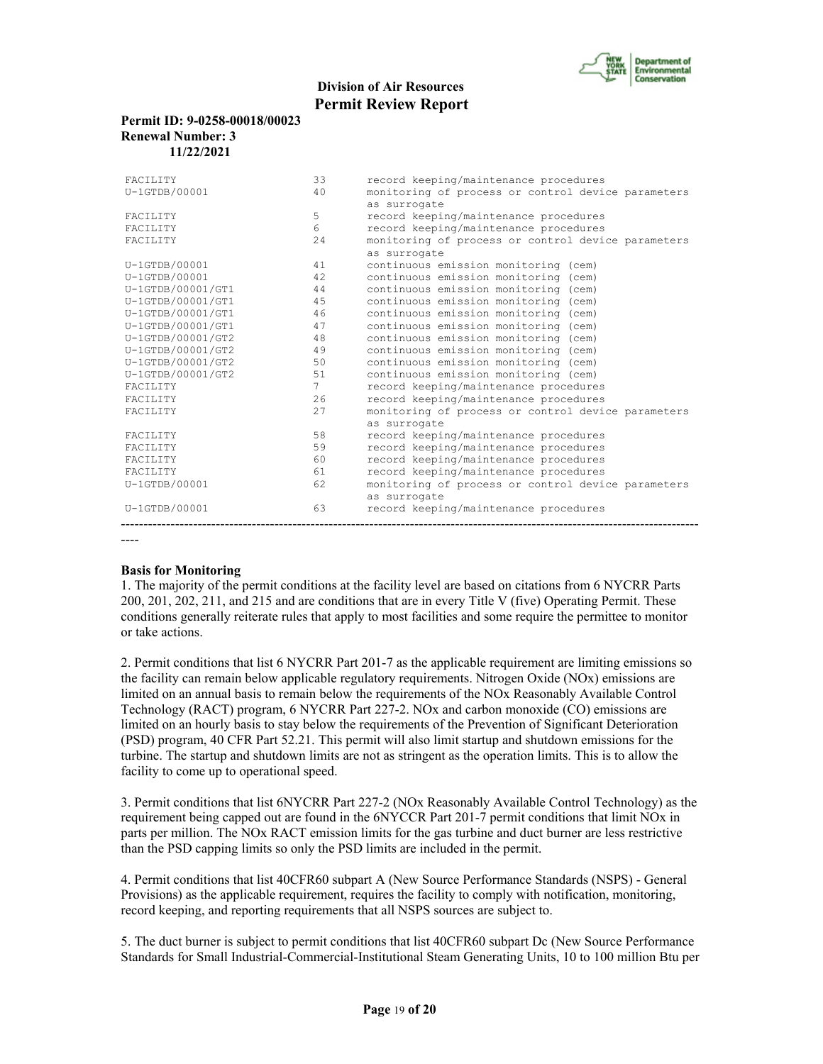

#### **Permit ID: 9-0258-00018/00023 Renewal Number: 3 11/22/2021**

| <b>FACTLITY</b>   | 33          | record keeping/maintenance procedures              |
|-------------------|-------------|----------------------------------------------------|
| $U-1GTDB/00001$   | 40          | monitoring of process or control device parameters |
|                   |             | as surrogate                                       |
| <b>FACTLITY</b>   | 5           | record keeping/maintenance procedures              |
| <b>FACTLITY</b>   | 6           | record keeping/maintenance procedures              |
| FACILITY          | 24          | monitoring of process or control device parameters |
|                   |             | as surrogate                                       |
| U-1GTDB/00001     | 41          | continuous emission monitoring (cem)               |
| $U-1GTDB/00001$   | 42          | continuous emission monitoring (cem)               |
| U-1GTDB/00001/GT1 | 44          | continuous emission monitoring (cem)               |
| U-1GTDB/00001/GT1 | 45          | continuous emission monitoring (cem)               |
| U-1GTDB/00001/GT1 | 46          | continuous emission monitoring (cem)               |
| U-1GTDB/00001/GT1 | 47          | continuous emission monitoring (cem)               |
| U-1GTDB/00001/GT2 | 48          | continuous emission monitoring (cem)               |
| U-1GTDB/00001/GT2 | 49          | continuous emission monitoring (cem)               |
| U-1GTDB/00001/GT2 | 50          | continuous emission monitoring (cem)               |
| U-1GTDB/00001/GT2 | 51          | continuous emission monitoring (cem)               |
| <b>FACTLITY</b>   | $7^{\circ}$ | record keeping/maintenance procedures              |
| <b>FACTLITY</b>   | 2.6         | record keeping/maintenance procedures              |
| FACILITY          | 27          | monitoring of process or control device parameters |
|                   |             | as surrogate                                       |
| <b>FACTLITY</b>   | 58          | record keeping/maintenance procedures              |
| FACILITY          | 59          | record keeping/maintenance procedures              |
| <b>FACTLITY</b>   | 60          | record keeping/maintenance procedures              |
| <b>FACTLITY</b>   | 61          | record keeping/maintenance procedures              |
| U-1GTDB/00001     | 62          | monitoring of process or control device parameters |
|                   |             | as surrogate                                       |
| $U-1GTDB/00001$   | 63          | record keeping/maintenance procedures              |
|                   |             |                                                    |

----

#### **Basis for Monitoring**

1. The majority of the permit conditions at the facility level are based on citations from 6 NYCRR Parts 200, 201, 202, 211, and 215 and are conditions that are in every Title V (five) Operating Permit. These conditions generally reiterate rules that apply to most facilities and some require the permittee to monitor or take actions.

2. Permit conditions that list 6 NYCRR Part 201-7 as the applicable requirement are limiting emissions so the facility can remain below applicable regulatory requirements. Nitrogen Oxide (NOx) emissions are limited on an annual basis to remain below the requirements of the NOx Reasonably Available Control Technology (RACT) program, 6 NYCRR Part 227-2. NOx and carbon monoxide (CO) emissions are limited on an hourly basis to stay below the requirements of the Prevention of Significant Deterioration (PSD) program, 40 CFR Part 52.21. This permit will also limit startup and shutdown emissions for the turbine. The startup and shutdown limits are not as stringent as the operation limits. This is to allow the facility to come up to operational speed.

3. Permit conditions that list 6NYCRR Part 227-2 (NOx Reasonably Available Control Technology) as the requirement being capped out are found in the 6NYCCR Part 201-7 permit conditions that limit NOx in parts per million. The NOx RACT emission limits for the gas turbine and duct burner are less restrictive than the PSD capping limits so only the PSD limits are included in the permit.

4. Permit conditions that list 40CFR60 subpart A (New Source Performance Standards (NSPS) - General Provisions) as the applicable requirement, requires the facility to comply with notification, monitoring, record keeping, and reporting requirements that all NSPS sources are subject to.

5. The duct burner is subject to permit conditions that list 40CFR60 subpart Dc (New Source Performance Standards for Small Industrial-Commercial-Institutional Steam Generating Units, 10 to 100 million Btu per